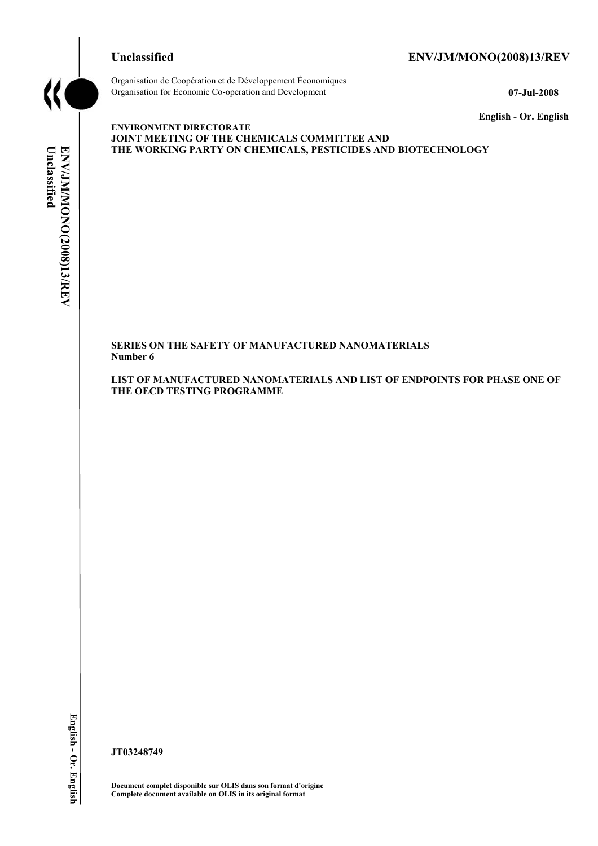### **Unclassified ENV/JM/MONO(2008)13/REV**



Organisation de Coopération et de Développement Économiques Organisation for Economic Co-operation and Development **07-Jul-2008** 

**English - Or. English** 

# Unclassified **Unclassified**  ENV/JM/MONOC2008)13/REV **ENV/JM/MONO(2008)13/REV English - Or. English**

**ENVIRONMENT DIRECTORATE JOINT MEETING OF THE CHEMICALS COMMITTEE AND THE WORKING PARTY ON CHEMICALS, PESTICIDES AND BIOTECHNOLOGY** 

**SERIES ON THE SAFETY OF MANUFACTURED NANOMATERIALS Number 6** 

**LIST OF MANUFACTURED NANOMATERIALS AND LIST OF ENDPOINTS FOR PHASE ONE OF THE OECD TESTING PROGRAMME** 

**JT03248749** 

**Document complet disponible sur OLIS dans son format d'origine Complete document available on OLIS in its original format**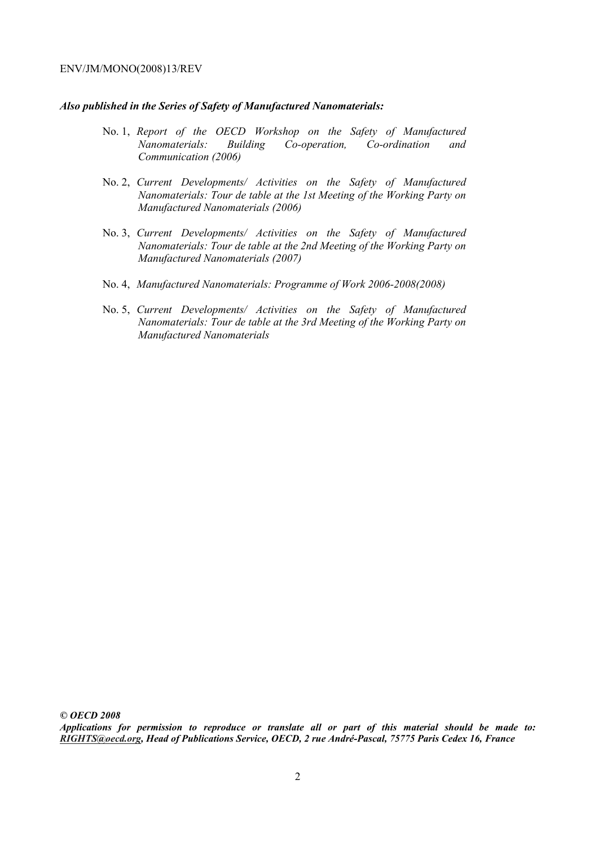#### *Also published in the Series of Safety of Manufactured Nanomaterials:*

- No. 1, *Report of the OECD Workshop on the Safety of Manufactured Nanomaterials: Building Co-operation, Co-ordination and Communication (2006)*
- No. 2, *Current Developments/ Activities on the Safety of Manufactured Nanomaterials: Tour de table at the 1st Meeting of the Working Party on Manufactured Nanomaterials (2006)*
- No. 3, *Current Developments/ Activities on the Safety of Manufactured Nanomaterials: Tour de table at the 2nd Meeting of the Working Party on Manufactured Nanomaterials (2007)*
- No. 4, *Manufactured Nanomaterials: Programme of Work 2006-2008(2008)*
- No. 5, *Current Developments/ Activities on the Safety of Manufactured Nanomaterials: Tour de table at the 3rd Meeting of the Working Party on Manufactured Nanomaterials*

*© OECD 2008* 

*Applications for permission to reproduce or translate all or part of this material should be made to: RIGHTS@oecd.org, Head of Publications Service, OECD, 2 rue André-Pascal, 75775 Paris Cedex 16, France*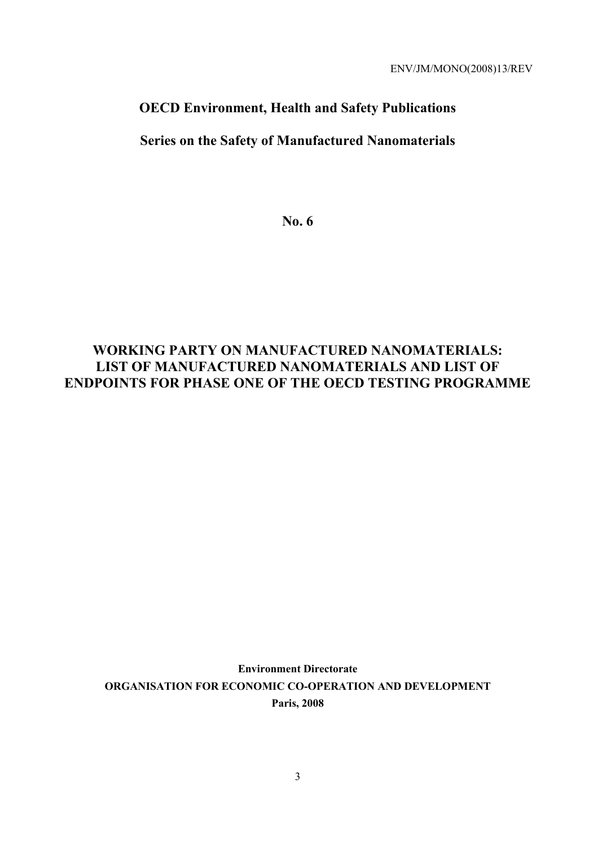# **OECD Environment, Health and Safety Publications**

**Series on the Safety of Manufactured Nanomaterials** 

**No. 6** 

# **WORKING PARTY ON MANUFACTURED NANOMATERIALS: LIST OF MANUFACTURED NANOMATERIALS AND LIST OF ENDPOINTS FOR PHASE ONE OF THE OECD TESTING PROGRAMME**

**Environment Directorate ORGANISATION FOR ECONOMIC CO-OPERATION AND DEVELOPMENT Paris, 2008**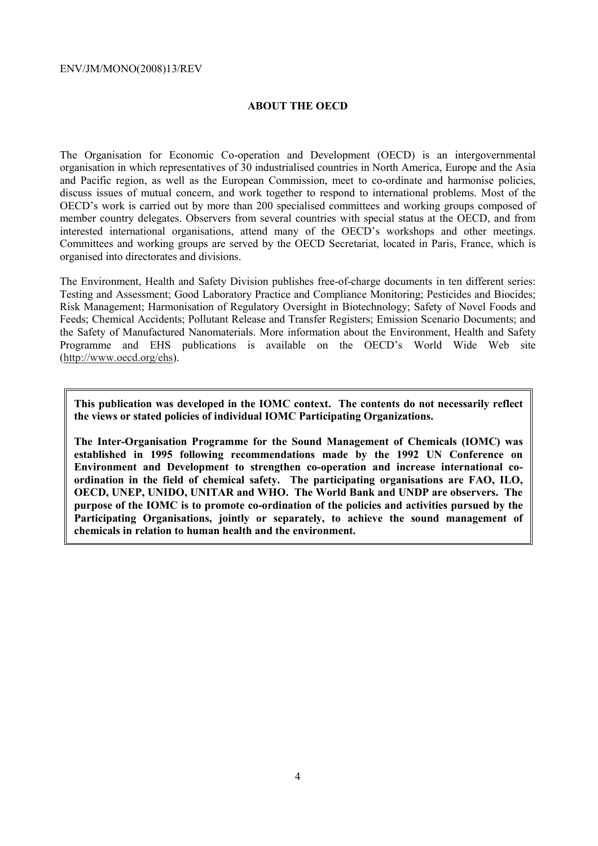#### **ABOUT THE OECD**

The Organisation for Economic Co-operation and Development (OECD) is an intergovernmental organisation in which representatives of 30 industrialised countries in North America, Europe and the Asia and Pacific region, as well as the European Commission, meet to co-ordinate and harmonise policies, discuss issues of mutual concern, and work together to respond to international problems. Most of the OECD's work is carried out by more than 200 specialised committees and working groups composed of member country delegates. Observers from several countries with special status at the OECD, and from interested international organisations, attend many of the OECD's workshops and other meetings. Committees and working groups are served by the OECD Secretariat, located in Paris, France, which is organised into directorates and divisions.

The Environment, Health and Safety Division publishes free-of-charge documents in ten different series: Testing and Assessment; Good Laboratory Practice and Compliance Monitoring; Pesticides and Biocides; Risk Management; Harmonisation of Regulatory Oversight in Biotechnology; Safety of Novel Foods and Feeds; Chemical Accidents; Pollutant Release and Transfer Registers; Emission Scenario Documents; and the Safety of Manufactured Nanomaterials. More information about the Environment, Health and Safety Programme and EHS publications is available on the OECD's World Wide Web site (http://www.oecd.org/ehs).

**This publication was developed in the IOMC context. The contents do not necessarily reflect the views or stated policies of individual IOMC Participating Organizations.** 

**The Inter-Organisation Programme for the Sound Management of Chemicals (IOMC) was established in 1995 following recommendations made by the 1992 UN Conference on Environment and Development to strengthen co-operation and increase international coordination in the field of chemical safety. The participating organisations are FAO, ILO, OECD, UNEP, UNIDO, UNITAR and WHO. The World Bank and UNDP are observers. The purpose of the IOMC is to promote co-ordination of the policies and activities pursued by the Participating Organisations, jointly or separately, to achieve the sound management of chemicals in relation to human health and the environment.**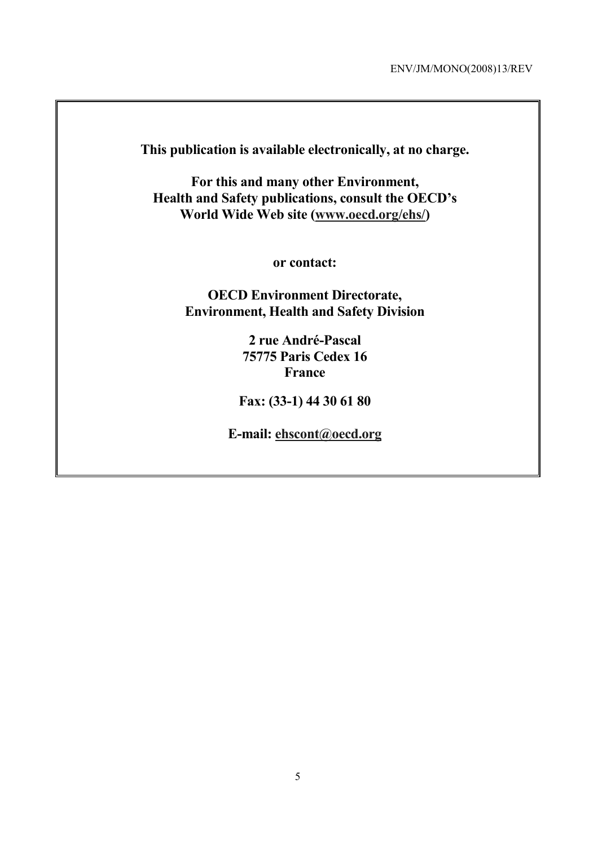**This publication is available electronically, at no charge.** 

**For this and many other Environment, Health and Safety publications, consult the OECD's World Wide Web site (www.oecd.org/ehs/)** 

**or contact:** 

**OECD Environment Directorate, Environment, Health and Safety Division**

> **2 rue André-Pascal 75775 Paris Cedex 16 France**

**Fax: (33-1) 44 30 61 80** 

**E-mail: ehscont@oecd.org**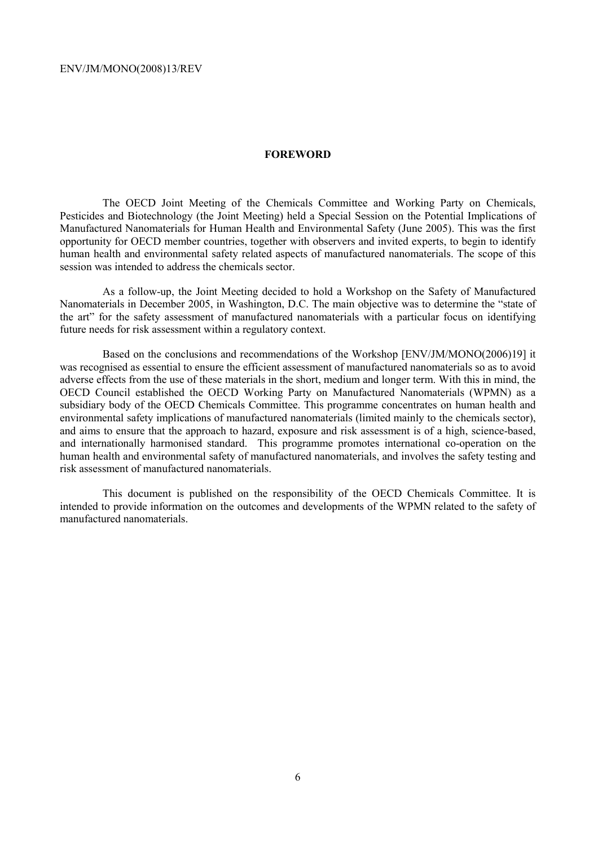#### **FOREWORD**

 The OECD Joint Meeting of the Chemicals Committee and Working Party on Chemicals, Pesticides and Biotechnology (the Joint Meeting) held a Special Session on the Potential Implications of Manufactured Nanomaterials for Human Health and Environmental Safety (June 2005). This was the first opportunity for OECD member countries, together with observers and invited experts, to begin to identify human health and environmental safety related aspects of manufactured nanomaterials. The scope of this session was intended to address the chemicals sector.

 As a follow-up, the Joint Meeting decided to hold a Workshop on the Safety of Manufactured Nanomaterials in December 2005, in Washington, D.C. The main objective was to determine the "state of the art" for the safety assessment of manufactured nanomaterials with a particular focus on identifying future needs for risk assessment within a regulatory context.

 Based on the conclusions and recommendations of the Workshop [ENV/JM/MONO(2006)19] it was recognised as essential to ensure the efficient assessment of manufactured nanomaterials so as to avoid adverse effects from the use of these materials in the short, medium and longer term. With this in mind, the OECD Council established the OECD Working Party on Manufactured Nanomaterials (WPMN) as a subsidiary body of the OECD Chemicals Committee. This programme concentrates on human health and environmental safety implications of manufactured nanomaterials (limited mainly to the chemicals sector), and aims to ensure that the approach to hazard, exposure and risk assessment is of a high, science-based, and internationally harmonised standard. This programme promotes international co-operation on the human health and environmental safety of manufactured nanomaterials, and involves the safety testing and risk assessment of manufactured nanomaterials.

 This document is published on the responsibility of the OECD Chemicals Committee. It is intended to provide information on the outcomes and developments of the WPMN related to the safety of manufactured nanomaterials.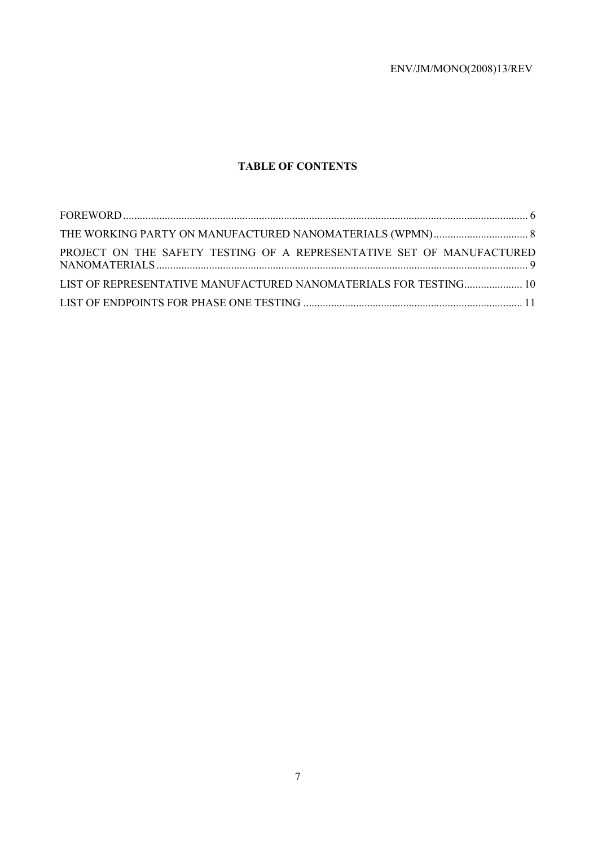# **TABLE OF CONTENTS**

| PROJECT ON THE SAFETY TESTING OF A REPRESENTATIVE SET OF MANUFACTURED |  |
|-----------------------------------------------------------------------|--|
| LIST OF REPRESENTATIVE MANUFACTURED NANOMATERIALS FOR TESTING 10      |  |
|                                                                       |  |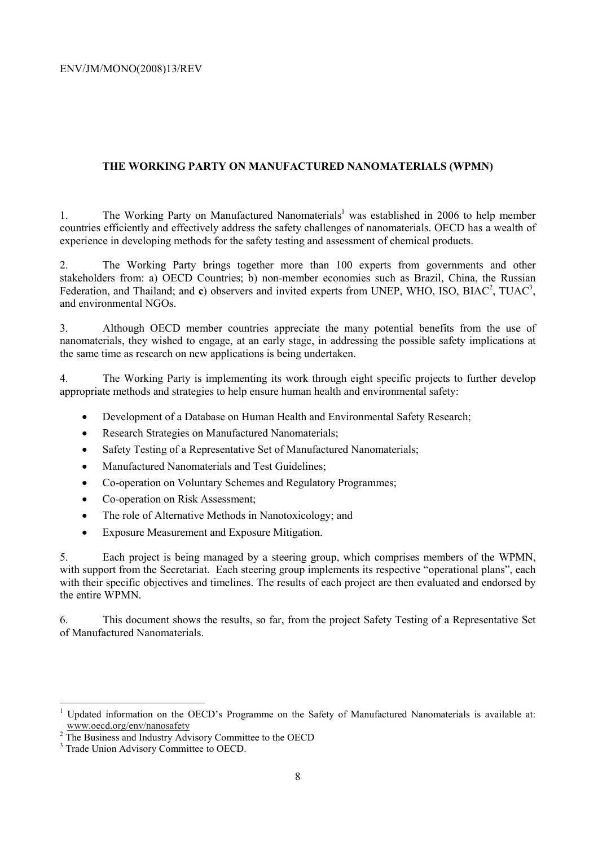#### **THE WORKING PARTY ON MANUFACTURED NANOMATERIALS (WPMN)**

1. The Working Party on Manufactured Nanomaterials<sup>1</sup> was established in 2006 to help member countries efficiently and effectively address the safety challenges of nanomaterials. OECD has a wealth of experience in developing methods for the safety testing and assessment of chemical products.

2. The Working Party brings together more than 100 experts from governments and other stakeholders from: a) OECD Countries; b) non-member economies such as Brazil, China, the Russian Federation, and Thailand; and  $c$ ) observers and invited experts from UNEP, WHO, ISO, BIAC<sup>2</sup>, TUAC<sup>3</sup>, and environmental NGOs.

3. Although OECD member countries appreciate the many potential benefits from the use of nanomaterials, they wished to engage, at an early stage, in addressing the possible safety implications at the same time as research on new applications is being undertaken.

4. The Working Party is implementing its work through eight specific projects to further develop appropriate methods and strategies to help ensure human health and environmental safety:

- Development of a Database on Human Health and Environmental Safety Research;
- Research Strategies on Manufactured Nanomaterials;
- Safety Testing of a Representative Set of Manufactured Nanomaterials;
- Manufactured Nanomaterials and Test Guidelines;
- Co-operation on Voluntary Schemes and Regulatory Programmes;
- Co-operation on Risk Assessment;
- The role of Alternative Methods in Nanotoxicology; and
- Exposure Measurement and Exposure Mitigation.

5. Each project is being managed by a steering group, which comprises members of the WPMN, with support from the Secretariat. Each steering group implements its respective "operational plans", each with their specific objectives and timelines. The results of each project are then evaluated and endorsed by the entire WPMN.

6. This document shows the results, so far, from the project Safety Testing of a Representative Set of Manufactured Nanomaterials.

<sup>1</sup> Updated information on the OECD's Programme on the Safety of Manufactured Nanomaterials is available at: <sup>2</sup> The Business and Industry Advisory Committee to the OECD<sup>2</sup>

<sup>&</sup>lt;sup>3</sup> Trade Union Advisory Committee to OECD.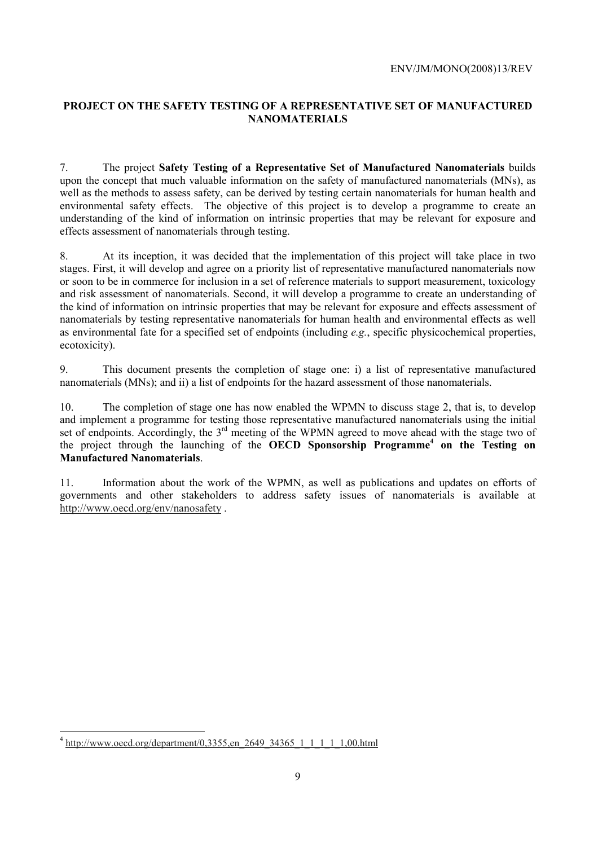### **PROJECT ON THE SAFETY TESTING OF A REPRESENTATIVE SET OF MANUFACTURED NANOMATERIALS**

7. The project **Safety Testing of a Representative Set of Manufactured Nanomaterials** builds upon the concept that much valuable information on the safety of manufactured nanomaterials (MNs), as well as the methods to assess safety, can be derived by testing certain nanomaterials for human health and environmental safety effects. The objective of this project is to develop a programme to create an understanding of the kind of information on intrinsic properties that may be relevant for exposure and effects assessment of nanomaterials through testing.

8. At its inception, it was decided that the implementation of this project will take place in two stages. First, it will develop and agree on a priority list of representative manufactured nanomaterials now or soon to be in commerce for inclusion in a set of reference materials to support measurement, toxicology and risk assessment of nanomaterials. Second, it will develop a programme to create an understanding of the kind of information on intrinsic properties that may be relevant for exposure and effects assessment of nanomaterials by testing representative nanomaterials for human health and environmental effects as well as environmental fate for a specified set of endpoints (including *e.g.*, specific physicochemical properties, ecotoxicity).

9. This document presents the completion of stage one: i) a list of representative manufactured nanomaterials (MNs); and ii) a list of endpoints for the hazard assessment of those nanomaterials.

10. The completion of stage one has now enabled the WPMN to discuss stage 2, that is, to develop and implement a programme for testing those representative manufactured nanomaterials using the initial set of endpoints. Accordingly, the 3<sup>rd</sup> meeting of the WPMN agreed to move ahead with the stage two of the project through the launching of the **OECD** Sponsorship Programme<sup>4</sup> on the Testing on **Manufactured Nanomaterials**.

11. Information about the work of the WPMN, as well as publications and updates on efforts of governments and other stakeholders to address safety issues of nanomaterials is available at http://www.oecd.org/env/nanosafety .

 $^{4}$  http://www.oecd.org/department/0,3355,en\_2649\_34365\_1\_1\_1\_1\_1,00.html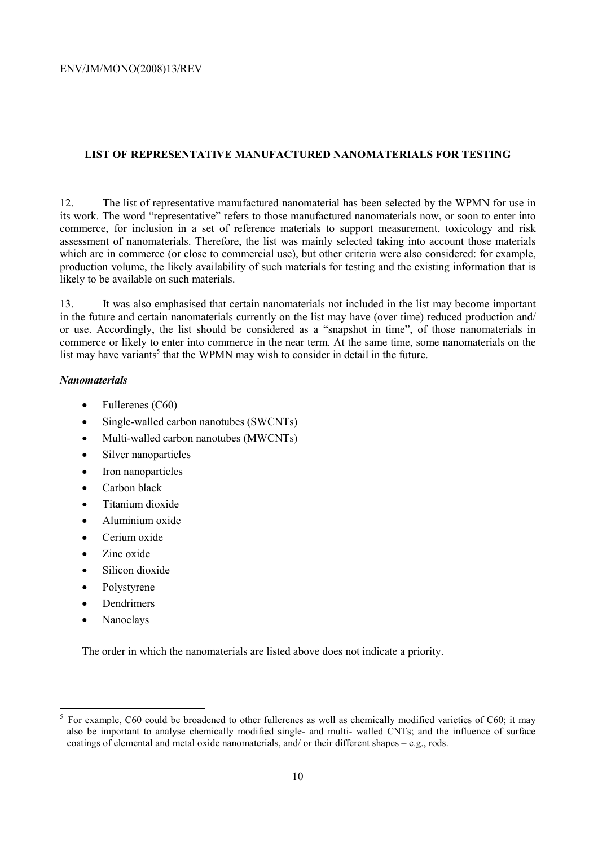#### **LIST OF REPRESENTATIVE MANUFACTURED NANOMATERIALS FOR TESTING**

12. The list of representative manufactured nanomaterial has been selected by the WPMN for use in its work. The word "representative" refers to those manufactured nanomaterials now, or soon to enter into commerce, for inclusion in a set of reference materials to support measurement, toxicology and risk assessment of nanomaterials. Therefore, the list was mainly selected taking into account those materials which are in commerce (or close to commercial use), but other criteria were also considered: for example, production volume, the likely availability of such materials for testing and the existing information that is likely to be available on such materials.

13. It was also emphasised that certain nanomaterials not included in the list may become important in the future and certain nanomaterials currently on the list may have (over time) reduced production and/ or use. Accordingly, the list should be considered as a "snapshot in time", of those nanomaterials in commerce or likely to enter into commerce in the near term. At the same time, some nanomaterials on the list may have variants<sup>5</sup> that the WPMN may wish to consider in detail in the future.

#### *Nanomaterials*

- Fullerenes (C60)
- Single-walled carbon nanotubes (SWCNTs)
- Multi-walled carbon nanotubes (MWCNTs)
- Silver nanoparticles
- Iron nanoparticles
- Carbon black
- Titanium dioxide
- Aluminium oxide
- Cerium oxide
- Zinc oxide
- Silicon dioxide
- Polystyrene
- **Dendrimers**
- Nanoclays

 $\overline{a}$ 

The order in which the nanomaterials are listed above does not indicate a priority.

<sup>5</sup> For example, C60 could be broadened to other fullerenes as well as chemically modified varieties of C60; it may also be important to analyse chemically modified single- and multi- walled CNTs; and the influence of surface coatings of elemental and metal oxide nanomaterials, and/ or their different shapes – e.g., rods.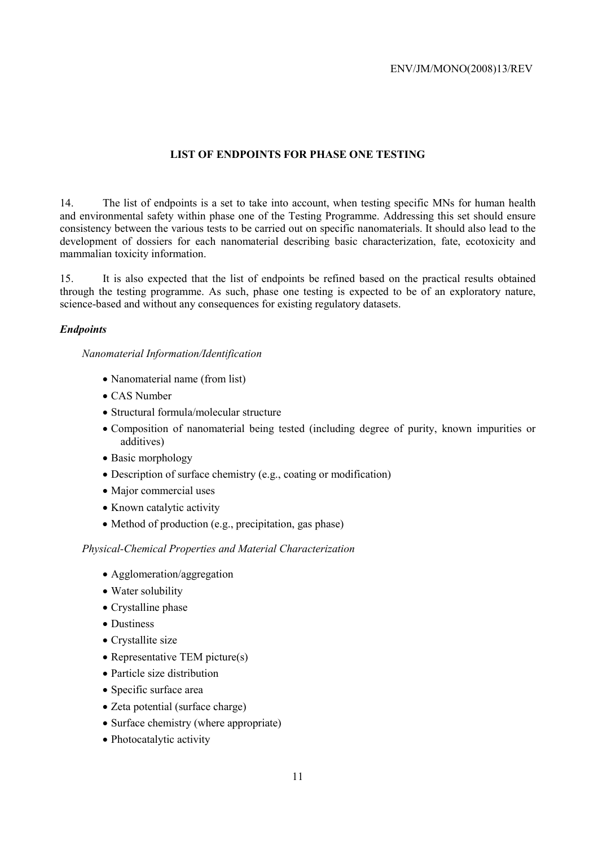#### **LIST OF ENDPOINTS FOR PHASE ONE TESTING**

14. The list of endpoints is a set to take into account, when testing specific MNs for human health and environmental safety within phase one of the Testing Programme. Addressing this set should ensure consistency between the various tests to be carried out on specific nanomaterials. It should also lead to the development of dossiers for each nanomaterial describing basic characterization, fate, ecotoxicity and mammalian toxicity information.

15. It is also expected that the list of endpoints be refined based on the practical results obtained through the testing programme. As such, phase one testing is expected to be of an exploratory nature, science-based and without any consequences for existing regulatory datasets.

#### *Endpoints*

*Nanomaterial Information/Identification* 

- Nanomaterial name (from list)
- CAS Number
- Structural formula/molecular structure
- Composition of nanomaterial being tested (including degree of purity, known impurities or additives)
- Basic morphology
- Description of surface chemistry (e.g., coating or modification)
- Major commercial uses
- Known catalytic activity
- Method of production (e.g., precipitation, gas phase)

#### *Physical-Chemical Properties and Material Characterization*

- Agglomeration/aggregation
- Water solubility
- Crystalline phase
- Dustiness
- Crystallite size
- Representative TEM picture(s)
- Particle size distribution
- Specific surface area
- Zeta potential (surface charge)
- Surface chemistry (where appropriate)
- Photocatalytic activity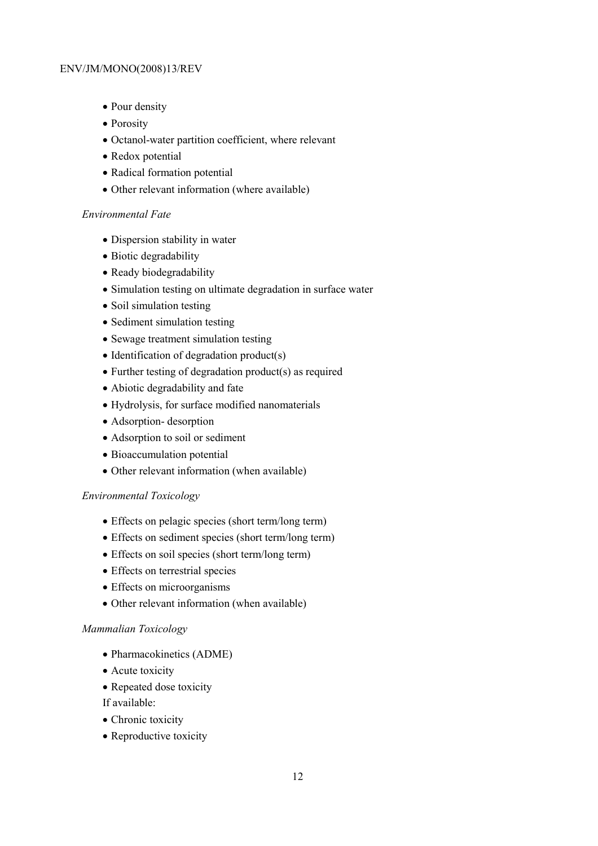- Pour density
- Porosity
- Octanol-water partition coefficient, where relevant
- Redox potential
- Radical formation potential
- Other relevant information (where available)

#### *Environmental Fate*

- Dispersion stability in water
- Biotic degradability
- Ready biodegradability
- Simulation testing on ultimate degradation in surface water
- Soil simulation testing
- Sediment simulation testing
- Sewage treatment simulation testing
- Identification of degradation product(s)
- Further testing of degradation product(s) as required
- Abiotic degradability and fate
- Hydrolysis, for surface modified nanomaterials
- Adsorption- desorption
- Adsorption to soil or sediment
- Bioaccumulation potential
- Other relevant information (when available)

#### *Environmental Toxicology*

- Effects on pelagic species (short term/long term)
- Effects on sediment species (short term/long term)
- Effects on soil species (short term/long term)
- Effects on terrestrial species
- Effects on microorganisms
- Other relevant information (when available)

#### *Mammalian Toxicology*

- Pharmacokinetics (ADME)
- Acute toxicity
- Repeated dose toxicity

If available:

- Chronic toxicity
- Reproductive toxicity